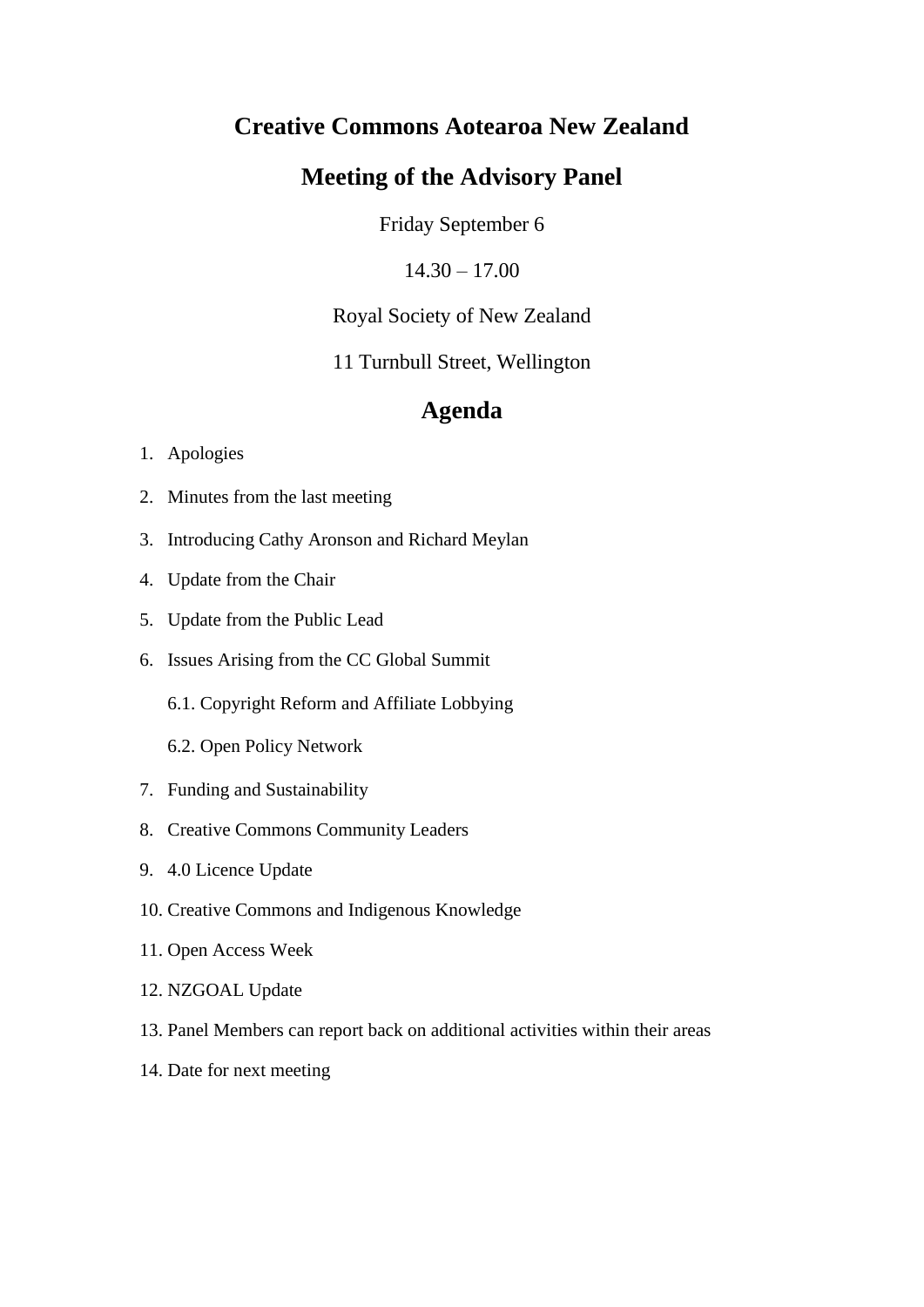# **Creative Commons Aotearoa New Zealand**

# **Meeting of the Advisory Panel**

Friday September 6

 $14.30 - 17.00$ 

Royal Society of New Zealand

11 Turnbull Street, Wellington

# **Agenda**

## 1. Apologies

- 2. Minutes from the last meeting
- 3. Introducing Cathy Aronson and Richard Meylan
- 4. Update from the Chair
- 5. Update from the Public Lead
- 6. Issues Arising from the CC Global Summit
	- 6.1. Copyright Reform and Affiliate Lobbying
	- 6.2. Open Policy Network
- 7. Funding and Sustainability
- 8. Creative Commons Community Leaders
- 9. 4.0 Licence Update
- 10. Creative Commons and Indigenous Knowledge
- 11. Open Access Week
- 12. NZGOAL Update
- 13. Panel Members can report back on additional activities within their areas
- 14. Date for next meeting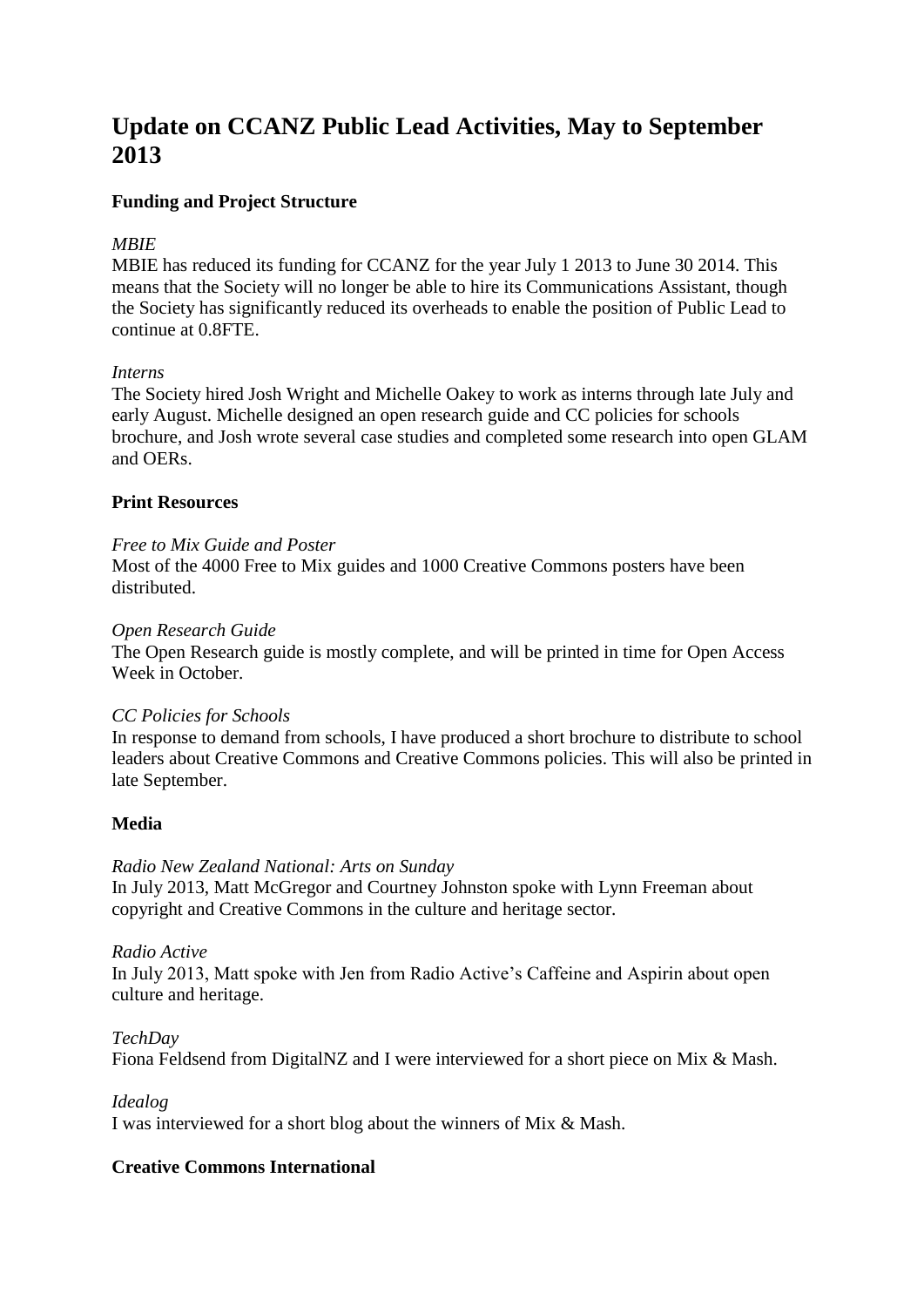# **Update on CCANZ Public Lead Activities, May to September 2013**

## **Funding and Project Structure**

## *MBIE*

MBIE has reduced its funding for CCANZ for the year July 1 2013 to June 30 2014. This means that the Society will no longer be able to hire its Communications Assistant, though the Society has significantly reduced its overheads to enable the position of Public Lead to continue at 0.8FTE.

#### *Interns*

The Society hired Josh Wright and Michelle Oakey to work as interns through late July and early August. Michelle designed an open research guide and CC policies for schools brochure, and Josh wrote several case studies and completed some research into open GLAM and OERs.

## **Print Resources**

#### *Free to Mix Guide and Poster*

Most of the 4000 Free to Mix guides and 1000 Creative Commons posters have been distributed.

#### *Open Research Guide*

The Open Research guide is mostly complete, and will be printed in time for Open Access Week in October.

## *CC Policies for Schools*

In response to demand from schools, I have produced a short brochure to distribute to school leaders about Creative Commons and Creative Commons policies. This will also be printed in late September.

## **Media**

## *Radio New Zealand National: Arts on Sunday*

In July 2013, Matt McGregor and Courtney Johnston spoke with Lynn Freeman about copyright and Creative Commons in the culture and heritage sector.

#### *Radio Active*

In July 2013, Matt spoke with Jen from Radio Active's Caffeine and Aspirin about open culture and heritage.

#### *TechDay*

Fiona Feldsend from DigitalNZ and I were interviewed for a short piece on Mix & Mash.

#### *Idealog*

I was interviewed for a short blog about the winners of Mix & Mash.

## **Creative Commons International**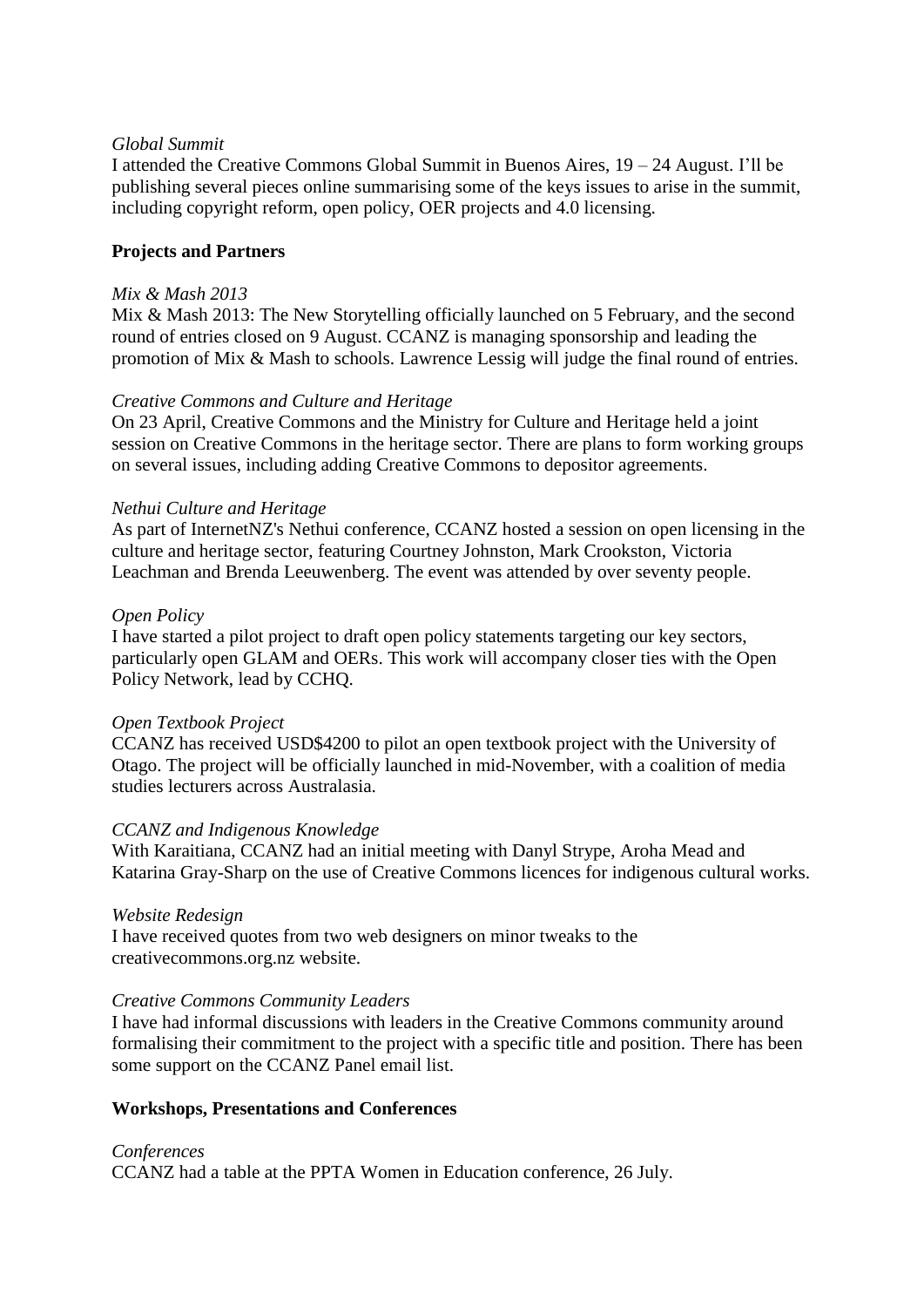## *Global Summit*

I attended the Creative Commons Global Summit in Buenos Aires, 19 – 24 August. I'll be publishing several pieces online summarising some of the keys issues to arise in the summit, including copyright reform, open policy, OER projects and 4.0 licensing.

## **Projects and Partners**

#### *Mix & Mash 2013*

Mix & Mash 2013: The New Storytelling officially launched on 5 February, and the second round of entries closed on 9 August. CCANZ is managing sponsorship and leading the promotion of Mix & Mash to schools. Lawrence Lessig will judge the final round of entries.

## *Creative Commons and Culture and Heritage*

On 23 April, Creative Commons and the Ministry for Culture and Heritage held a joint session on Creative Commons in the heritage sector. There are plans to form working groups on several issues, including adding Creative Commons to depositor agreements.

#### *Nethui Culture and Heritage*

As part of InternetNZ's Nethui conference, CCANZ hosted a session on open licensing in the culture and heritage sector, featuring Courtney Johnston, Mark Crookston, Victoria Leachman and Brenda Leeuwenberg. The event was attended by over seventy people.

#### *Open Policy*

I have started a pilot project to draft open policy statements targeting our key sectors, particularly open GLAM and OERs. This work will accompany closer ties with the Open Policy Network, lead by CCHQ.

#### *Open Textbook Project*

CCANZ has received USD\$4200 to pilot an open textbook project with the University of Otago. The project will be officially launched in mid-November, with a coalition of media studies lecturers across Australasia.

## *CCANZ and Indigenous Knowledge*

With Karaitiana, CCANZ had an initial meeting with Danyl Strype, Aroha Mead and Katarina Gray-Sharp on the use of Creative Commons licences for indigenous cultural works.

#### *Website Redesign*

I have received quotes from two web designers on minor tweaks to the creativecommons.org.nz website.

## *Creative Commons Community Leaders*

I have had informal discussions with leaders in the Creative Commons community around formalising their commitment to the project with a specific title and position. There has been some support on the CCANZ Panel email list.

## **Workshops, Presentations and Conferences**

#### *Conferences*

CCANZ had a table at the PPTA Women in Education conference, 26 July.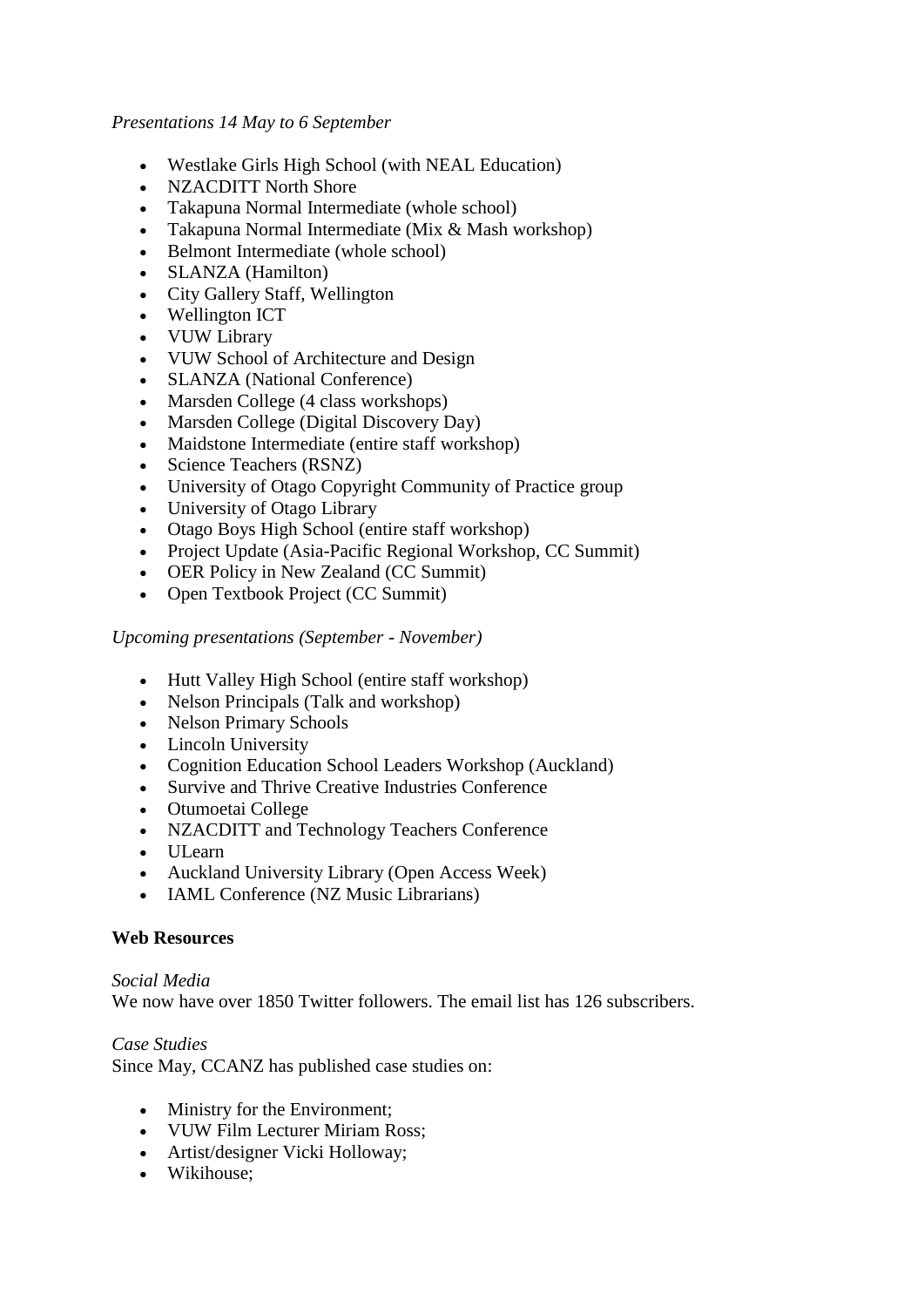## *Presentations 14 May to 6 September*

- Westlake Girls High School (with NEAL Education)
- NZACDITT North Shore
- Takapuna Normal Intermediate (whole school)
- Takapuna Normal Intermediate (Mix & Mash workshop)
- Belmont Intermediate (whole school)
- SLANZA (Hamilton)
- City Gallery Staff, Wellington
- Wellington ICT
- VUW Library
- VUW School of Architecture and Design
- SLANZA (National Conference)
- Marsden College (4 class workshops)
- Marsden College (Digital Discovery Day)
- Maidstone Intermediate (entire staff workshop)
- Science Teachers (RSNZ)
- University of Otago Copyright Community of Practice group
- University of Otago Library
- Otago Boys High School (entire staff workshop)
- Project Update (Asia-Pacific Regional Workshop, CC Summit)
- OER Policy in New Zealand (CC Summit)
- Open Textbook Project (CC Summit)

*Upcoming presentations (September - November)*

- Hutt Valley High School (entire staff workshop)
- Nelson Principals (Talk and workshop)
- Nelson Primary Schools
- Lincoln University
- Cognition Education School Leaders Workshop (Auckland)
- Survive and Thrive Creative Industries Conference
- Otumoetai College
- NZACDITT and Technology Teachers Conference
- ULearn
- Auckland University Library (Open Access Week)
- IAML Conference (NZ Music Librarians)

## **Web Resources**

#### *Social Media* We now have over 1850 Twitter followers. The email list has 126 subscribers.

*Case Studies*

Since May, CCANZ has published case studies on:

- Ministry for the Environment;
- VUW Film Lecturer Miriam Ross;
- Artist/designer Vicki Holloway;
- Wikihouse: